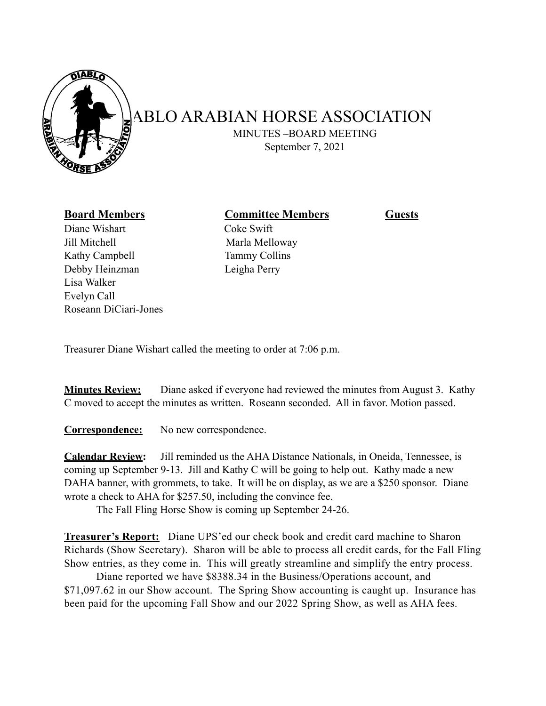

## **ABLO ARABIAN HORSE ASSOCIATION**

 MINUTES –BOARD MEETING September 7, 2021

Diane Wishart **Coke Swift** Jill Mitchell Marla Melloway Kathy Campbell Tammy Collins Debby Heinzman Leigha Perry Lisa Walker Evelyn Call Roseann DiCiari-Jones

**Board Members Committee Members Guests** 

Treasurer Diane Wishart called the meeting to order at 7:06 p.m.

**Minutes Review:** Diane asked if everyone had reviewed the minutes from August 3. Kathy C moved to accept the minutes as written. Roseann seconded. All in favor. Motion passed.

**Correspondence:** No new correspondence.

**Calendar Review:** Jill reminded us the AHA Distance Nationals, in Oneida, Tennessee, is coming up September 9-13. Jill and Kathy C will be going to help out. Kathy made a new DAHA banner, with grommets, to take. It will be on display, as we are a \$250 sponsor. Diane wrote a check to AHA for \$257.50, including the convince fee.

The Fall Fling Horse Show is coming up September 24-26.

**Treasurer's Report:** Diane UPS'ed our check book and credit card machine to Sharon Richards (Show Secretary). Sharon will be able to process all credit cards, for the Fall Fling Show entries, as they come in. This will greatly streamline and simplify the entry process.

 Diane reported we have \$8388.34 in the Business/Operations account, and \$71,097.62 in our Show account. The Spring Show accounting is caught up. Insurance has been paid for the upcoming Fall Show and our 2022 Spring Show, as well as AHA fees.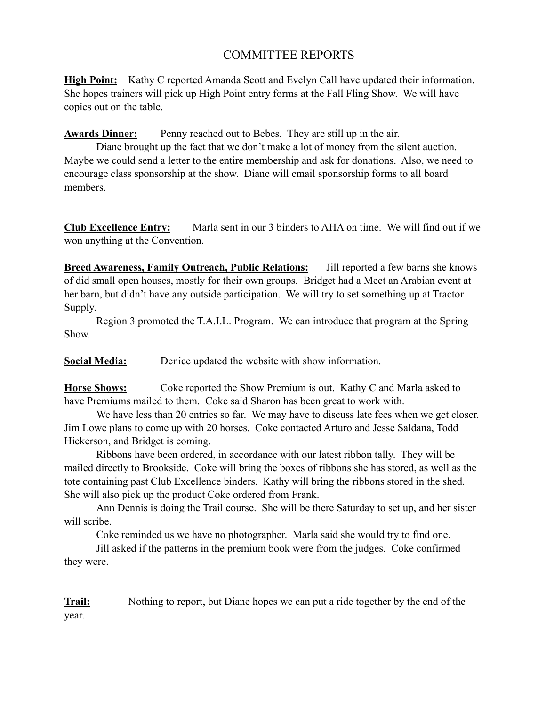## COMMITTEE REPORTS

**High Point:** Kathy C reported Amanda Scott and Evelyn Call have updated their information. She hopes trainers will pick up High Point entry forms at the Fall Fling Show. We will have copies out on the table.

**Awards Dinner:** Penny reached out to Bebes. They are still up in the air.

 Diane brought up the fact that we don't make a lot of money from the silent auction. Maybe we could send a letter to the entire membership and ask for donations. Also, we need to encourage class sponsorship at the show. Diane will email sponsorship forms to all board members.

**Club Excellence Entry:** Marla sent in our 3 binders to AHA on time. We will find out if we won anything at the Convention.

**Breed Awareness, Family Outreach, Public Relations:** Jill reported a few barns she knows of did small open houses, mostly for their own groups. Bridget had a Meet an Arabian event at her barn, but didn't have any outside participation. We will try to set something up at Tractor Supply.

 Region 3 promoted the T.A.I.L. Program. We can introduce that program at the Spring Show.

**Social Media:** Denice updated the website with show information.

**Horse Shows:** Coke reported the Show Premium is out. Kathy C and Marla asked to have Premiums mailed to them. Coke said Sharon has been great to work with.

We have less than 20 entries so far. We may have to discuss late fees when we get closer. Jim Lowe plans to come up with 20 horses. Coke contacted Arturo and Jesse Saldana, Todd Hickerson, and Bridget is coming.

 Ribbons have been ordered, in accordance with our latest ribbon tally. They will be mailed directly to Brookside. Coke will bring the boxes of ribbons she has stored, as well as the tote containing past Club Excellence binders. Kathy will bring the ribbons stored in the shed. She will also pick up the product Coke ordered from Frank.

 Ann Dennis is doing the Trail course. She will be there Saturday to set up, and her sister will scribe.

Coke reminded us we have no photographer. Marla said she would try to find one.

 Jill asked if the patterns in the premium book were from the judges. Coke confirmed they were.

**Trail:** Nothing to report, but Diane hopes we can put a ride together by the end of the year.